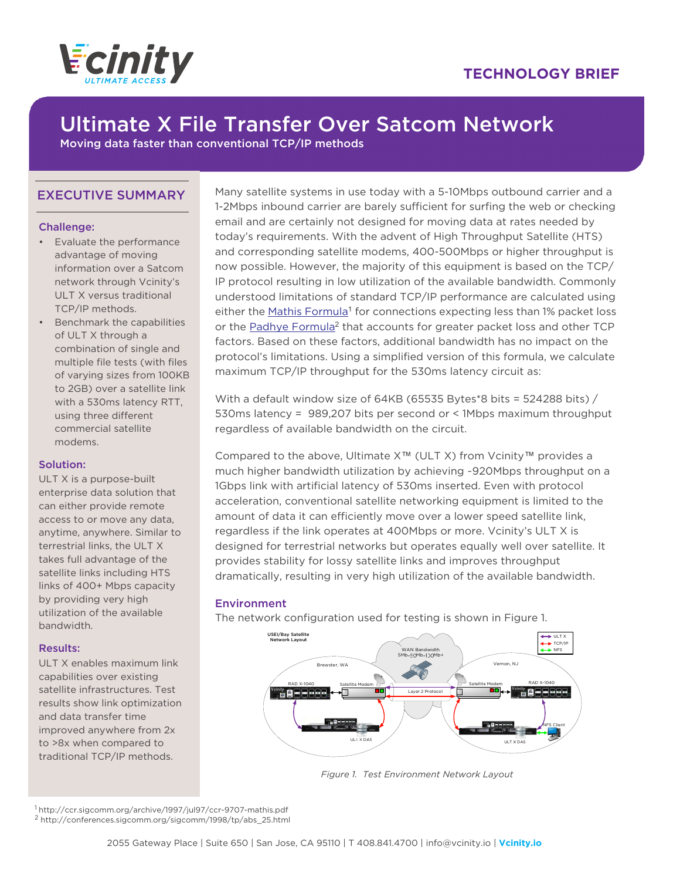

# **TECHNOLOGY BRIEF**

# Ultimate X File Transfer Over Satcom Network

Moving data faster than conventional TCP/IP methods

- Evaluate the performance advantage of moving information over a Satcom network through Vcinity's ULT X versus traditional TCP/IP methods.
- Benchmark the capabilities of ULT X through a combination of single and multiple file tests (with files of varying sizes from 100KB to 2GB) over a satellite link with a 530ms latency RTT, using three different commercial satellite modems.

#### Solution:

ULT X is a purpose-built enterprise data solution that can either provide remote access to or move any data, anytime, anywhere. Similar to terrestrial links, the ULT X takes full advantage of the satellite links including HTS links of 400+ Mbps capacity by providing very high utilization of the available bandwidth.

### Results:

ULT X enables maximum link capabilities over existing satellite infrastructures. Test results show link optimization and data transfer time improved anywhere from 2x to >8x when compared to traditional TCP/IP methods.

**EXECUTIVE SUMMARY** Many satellite systems in use today with a 5-10Mbps outbound carrier and a 1-2Mbps inbound carrier are barely sufficient for surfing the web or checking email and are certainly not designed for moving data at rates needed by today's requirements. With the advent of High Throughput Satellite (HTS) and corresponding satellite modems, 400-500Mbps or higher throughput is now possible. However, the majority of this equipment is based on the TCP/ IP protocol resulting in low utilization of the available bandwidth. Commonly understood limitations of standard TCP/IP performance are calculated using either the [Mathis Formula](http://ccr.sigcomm.org/archive/1997/jul97/ccr-9707-mathis.pdf)<sup>1</sup> for connections expecting less than 1% packet loss or the [Padhye Formula](http://conferences.sigcomm.org/sigcomm/1998/tp/abs_25.html)<sup>2</sup> that accounts for greater packet loss and other TCP factors. Based on these factors, additional bandwidth has no impact on the protocol's limitations. Using a simplified version of this formula, we calculate maximum TCP/IP throughput for the 530ms latency circuit as: Challenge:<br>
Challenge:<br>
Challenge:<br>
Evaluate the performance<br>
Edua's requirements. With the<br>
advantage of moving<br>
and corresponding satellite in<br>
information over a Satcom<br>
entwork through Vcinity's<br>
ULTX versus traditiona

With a default window size of  $64KB$  (65535 Bytes\*8 bits = 524288 bits) / 530ms latency = 989,207 bits per second or < 1Mbps maximum throughput regardless of available bandwidth on the circuit.

Compared to the above, Ultimate X™ (ULT X) from Vcinity™ provides a much higher bandwidth utilization by achieving ~920Mbps throughput on a 1Gbps link with artificial latency of 530ms inserted. Even with protocol acceleration, conventional satellite networking equipment is limited to the amount of data it can efficiently move over a lower speed satellite link, regardless if the link operates at 400Mbps or more. Vcinity's ULT X is designed for terrestrial networks but operates equally well over satellite. It provides stability for lossy satellite links and improves throughput dramatically, resulting in very high utilization of the available bandwidth.

### Environment

The network configuration used for testing is shown in [Figure 1.](#page-0-0)



<span id="page-0-0"></span>*Figure 1. Test Environment Network Layout*

1 http://ccr.sigcomm.org/archive/1997/jul97/ccr-9707-mathis.pdf

2 http://conferences.sigcomm.org/sigcomm/1998/tp/abs\_25.html